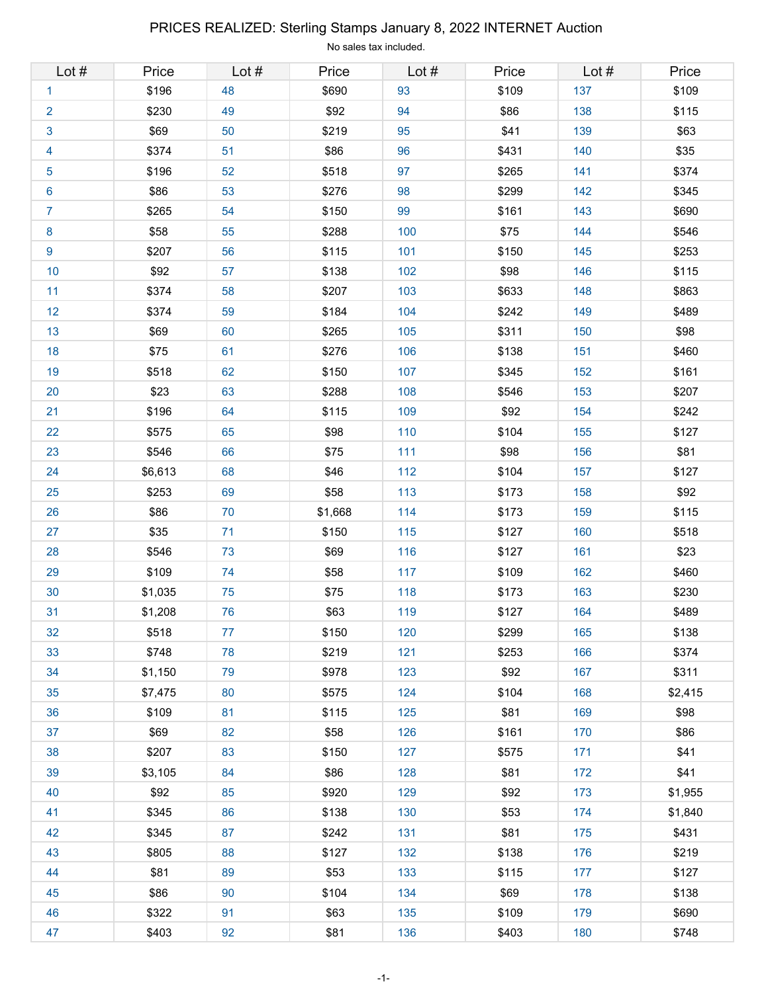# Lot # Price Lot # Price Lot # Price Lot # Price 1 \$196 48 \$690 93 \$109 137 \$109 2 \$230 49 \$92 94 \$86 138 \$115 3 \$69 50 \$219 95 \$41 139 \$63 4 \$374 51 \$86 96 \$431 140 \$35 5 \$196 52 \$518 97 \$265 141 \$374 6 \$86 53 \$276 98 \$299 142 \$345 7 \$265 54 \$150 99 \$161 143 \$690 8 \$58 | 55 | \$288 | 100 | \$75 | 144 | \$546 9 \$207 56 \$115 101 \$150 145 \$253 10 \$92 57 \$138 102 \$98 146 \$115 11 \$374 58 \$207 103 \$633 148 \$863 12 \$374 59 \$184 104 \$242 149 \$489 13 \$69 60 \$265 105 \$311 150 \$98 18 \$75 61 \$276 106 \$138 151 \$460 19 \$518 62 \$150 107 \$345 152 \$161 20 \$23 63 \$288 108 \$546 153 \$207 21 \$196 64 \$115 109 \$92 154 \$242 22 \$575 65 \$98 110 \$104 155 \$127 23 \$546 66 \$75 111 \$98 156 \$81 24 \$6,613 68 \$46 112 \$104 157 \$127 25 \$253 69 \$58 113 \$173 158 \$92 26 \$86 70 \$1,668 114 \$173 159 \$115 27 \$35 71 \$150 115 \$127 160 \$518 28 \$546 73 \$69 116 \$127 161 \$23 29 \$109 74 \$58 117 \$109 162 \$460 30 \$1,035 75 \$75 118 \$173 163 \$230 31 \$1,208 76 \$63 119 \$127 164 \$489 32 \$518 77 \$150 120 \$299 165 \$138 33 \$748 78 \$219 121 \$253 166 \$374 34 \$1,150 79 \$978 123 \$92 167 \$311 35 \$7,475 80 \$575 124 \$104 168 \$2,415 36 \$109 81 \$115 125 \$81 169 \$98 37 \$69 82 \$58 126 \$161 170 \$86 38 \$207 83 \$150 127 \$575 171 \$41 39 \$3,105 84 \$86 128 \$81 172 \$41 40 \$92 85 \$920 129 \$92 173 \$1,955 41 \$345 86 \$138 130 \$53 174 \$1,840 42 \$345 87 \$242 131 \$81 175 \$431 43 \$805 88 \$127 132 \$138 176 \$219 44 \$81 89 \$53 133 \$115 177 \$127 45 \$86 90 \$104 134 \$69 178 \$138 46 \$322 91 \$63 135 \$109 179 \$690 47 \$403 92 \$81 136 \$403 180 \$748

### PRICES REALIZED: Sterling Stamps January 8, 2022 INTERNET Auction

No sales tax included.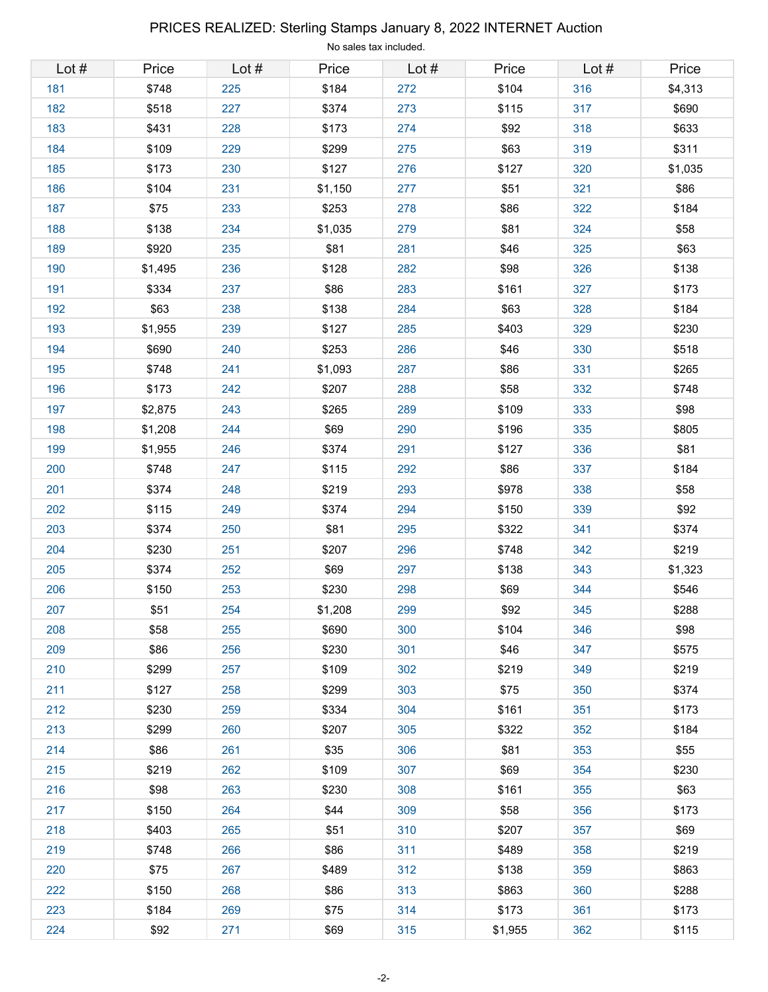# Lot # Price Lot # Price Lot # Price Lot # Price 181 \$748 225 \$184 272 \$104 316 \$4,313 182 \$518 227 \$374 273 \$115 317 \$690 183 \$431 228 \$173 274 \$92 318 \$633 184 \$109 229 \$299 275 \$63 319 \$311 185 \$173 230 \$127 276 \$127 320 \$1,035 186 \$104 231 \$1,150 277 \$51 321 \$86 187 | \$75 | 233 | \$253 | 278 | \$86 | 322 | \$184 188 \$138 234 \$1,035 279 \$81 324 \$58 189 \$920 235 \$81 281 \$46 325 \$63 190 | \$1,495 | 236 | \$128 | 282 | \$98 | 326 | \$138 191 \$334 237 \$86 283 \$161 327 \$173 192 | \$63 | 238 | \$138 | 284 | \$63 | 328 | \$184 193 \$1,955 239 \$127 285 \$403 329 \$230 194 \$690 240 \$253 286 \$46 330 \$518 195 | \$748 | 241 | \$1,093 | 287 | \$86 | 331 | \$265 196 | \$173 | 242 | \$207 | 288 | \$58 | 332 | \$748 197 \$2,875 243 \$265 289 \$109 333 \$98 198 | \$1,208 | 244 | \$69 | 290 | \$196 | 335 | \$805 199 \$1,955 246 \$374 291 \$127 336 \$81 200 \$748 247 \$115 292 \$86 337 \$184 201 \$374 248 \$219 293 \$978 338 \$58 202 \$115 249 \$374 294 \$150 339 \$92 203 \$374 250 \$81 295 \$322 341 \$374 204 \$230 251 \$207 296 \$748 342 \$219 205 | \$374 | 252 | \$69 | 297 | \$138 | 343 | \$1,323 206 \$150 253 \$230 298 \$69 344 \$546 207 \$51 254 \$1,208 299 \$92 345 \$288 208 \$58 255 \$690 300 \$104 346 \$98 209 \$86 256 \$230 301 \$46 347 \$575 210 \$299 257 \$109 302 \$219 349 \$219 211 | \$127 | 258 | \$299 | 303 | \$75 | 350 | \$374 212 \$230 259 \$334 304 \$161 351 \$173 213 \$299 260 \$207 305 \$322 352 \$184 214 \$86 261 \$35 306 \$81 353 \$55 215 \$219 262 \$109 307 \$69 354 \$230 216 \$98 263 \$230 308 \$161 355 \$63 217 | \$150 | 264 | \$44 | 309 | \$58 | 356 | \$173 218 \$403 265 \$51 310 \$207 357 \$69 219 \$748 266 \$86 311 \$489 358 \$219 220 \$75 267 \$489 312 \$138 359 \$863 222 \$150 268 \$86 313 \$863 360 \$288 223 \$184 269 \$75 314 \$173 361 \$173 224 \$92 271 \$69 315 \$1,955 362 \$115

#### PRICES REALIZED: Sterling Stamps January 8, 2022 INTERNET Auction